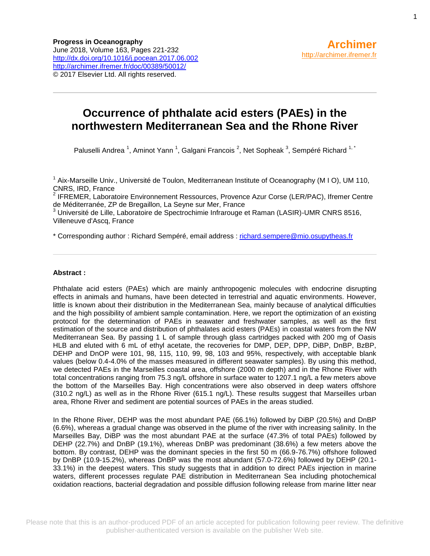# **Occurrence of phthalate acid esters (PAEs) in the northwestern Mediterranean Sea and the Rhone River**

Paluselli Andrea <sup>1</sup>, Aminot Yann <sup>1</sup>, Galgani Francois <sup>2</sup>, Net Sopheak <sup>3</sup>, Sempéré Richard <sup>1, \*</sup>

<sup>1</sup> Aix-Marseille Univ., Université de Toulon, Mediterranean Institute of Oceanography (M I O), UM 110, CNRS, IRD, France

<sup>2</sup> IFREMER, Laboratoire Environnement Ressources, Provence Azur Corse (LER/PAC), Ifremer Centre de Méditerranée, ZP de Bregaillon, La Seyne sur Mer, France

<sup>3</sup> Université de Lille, Laboratoire de Spectrochimie Infrarouge et Raman (LASIR)-UMR CNRS 8516, Villeneuve d'Ascq, France

\* Corresponding author : Richard Sempéré, email address : [richard.sempere@mio.osupytheas.fr](mailto:richard.sempere@mio.osupytheas.fr)

### **Abstract :**

Phthalate acid esters (PAEs) which are mainly anthropogenic molecules with endocrine disrupting effects in animals and humans, have been detected in terrestrial and aquatic environments. However, little is known about their distribution in the Mediterranean Sea, mainly because of analytical difficulties and the high possibility of ambient sample contamination. Here, we report the optimization of an existing protocol for the determination of PAEs in seawater and freshwater samples, as well as the first estimation of the source and distribution of phthalates acid esters (PAEs) in coastal waters from the NW Mediterranean Sea. By passing 1 L of sample through glass cartridges packed with 200 mg of Oasis HLB and eluted with 6 mL of ethyl acetate, the recoveries for DMP, DEP, DPP, DiBP, DnBP, BzBP, DEHP and DnOP were 101, 98, 115, 110, 99, 98, 103 and 95%, respectively, with acceptable blank values (below 0.4-4.0% of the masses measured in different seawater samples). By using this method, we detected PAEs in the Marseilles coastal area, offshore (2000 m depth) and in the Rhone River with total concentrations ranging from 75.3 ng/L offshore in surface water to 1207.1 ng/L a few meters above the bottom of the Marseilles Bay. High concentrations were also observed in deep waters offshore (310.2 ng/L) as well as in the Rhone River (615.1 ng/L). These results suggest that Marseilles urban area, Rhone River and sediment are potential sources of PAEs in the areas studied.

In the Rhone River, DEHP was the most abundant PAE (66.1%) followed by DiBP (20.5%) and DnBP (6.6%), whereas a gradual change was observed in the plume of the river with increasing salinity. In the Marseilles Bay, DiBP was the most abundant PAE at the surface (47.3% of total PAEs) followed by DEHP (22.7%) and DnBP (19.1%), whereas DnBP was predominant (38.6%) a few meters above the bottom. By contrast, DEHP was the dominant species in the first 50 m (66.9-76.7%) offshore followed by DnBP (10.9-15.2%), whereas DnBP was the most abundant (57.0-72.6%) followed by DEHP (20.1- 33.1%) in the deepest waters. This study suggests that in addition to direct PAEs injection in marine waters, different processes regulate PAE distribution in Mediterranean Sea including photochemical oxidation reactions, bacterial degradation and possible diffusion following release from marine litter near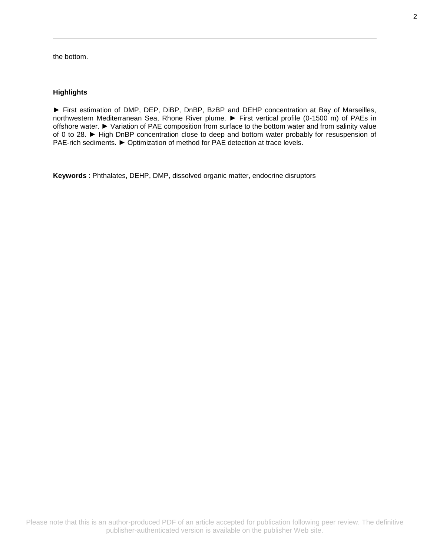the bottom.

### **Highlights**

► First estimation of DMP, DEP, DiBP, DnBP, BzBP and DEHP concentration at Bay of Marseilles, northwestern Mediterranean Sea, Rhone River plume. ► First vertical profile (0-1500 m) of PAEs in offshore water. ► Variation of PAE composition from surface to the bottom water and from salinity value of 0 to 28. ► High DnBP concentration close to deep and bottom water probably for resuspension of PAE-rich sediments. ► Optimization of method for PAE detection at trace levels.

**Keywords** : Phthalates, DEHP, DMP, dissolved organic matter, endocrine disruptors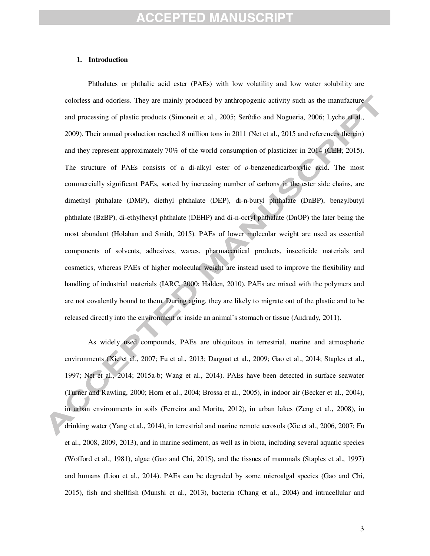### **1. Introduction**

Phthalates or phthalic acid ester (PAEs) with low volatility and low water solubility are colorless and odorless. They are mainly produced by anthropogenic activity such as the manufacture and processing of plastic products (Simoneit et al., 2005; Serôdio and Nogueria, 2006; Lyche et al., 2009). Their annual production reached 8 million tons in 2011 (Net et al., 2015 and references therein) and they represent approximately 70% of the world consumption of plasticizer in 2014 (CEH, 2015). The structure of PAEs consists of a di-alkyl ester of *o*-benzenedicarboxylic acid. The most commercially significant PAEs, sorted by increasing number of carbons in the ester side chains, are dimethyl phthalate (DMP), diethyl phthalate (DEP), di-n-butyl phthalate (DnBP), benzylbutyl phthalate (BzBP), di-ethylhexyl phthalate (DEHP) and di-n-octyl phthalate (DnOP) the later being the most abundant (Holahan and Smith, 2015). PAEs of lower molecular weight are used as essential components of solvents, adhesives, waxes, pharmaceutical products, insecticide materials and cosmetics, whereas PAEs of higher molecular weight are instead used to improve the flexibility and handling of industrial materials (IARC, 2000; Halden, 2010). PAEs are mixed with the polymers and are not covalently bound to them. During aging, they are likely to migrate out of the plastic and to be released directly into the environment or inside an animal's stomach or tissue (Andrady, 2011).

As widely used compounds, PAEs are ubiquitous in terrestrial, marine and atmospheric environments (Xie et al., 2007; Fu et al., 2013; Dargnat et al., 2009; Gao et al., 2014; Staples et al., 1997; Net et al., 2014; 2015a-b; Wang et al., 2014). PAEs have been detected in surface seawater (Turner and Rawling, 2000; Horn et al., 2004; Brossa et al., 2005), in indoor air (Becker et al., 2004), in urban environments in soils (Ferreira and Morita, 2012), in urban lakes (Zeng et al., 2008), in drinking water (Yang et al., 2014), in terrestrial and marine remote aerosols (Xie et al., 2006, 2007; Fu et al., 2008, 2009, 2013), and in marine sediment, as well as in biota, including several aquatic species (Wofford et al., 1981), algae (Gao and Chi, 2015), and the tissues of mammals (Staples et al., 1997) and humans (Liou et al., 2014). PAEs can be degraded by some microalgal species (Gao and Chi, 2015), fish and shellfish (Munshi et al., 2013), bacteria (Chang et al., 2004) and intracellular and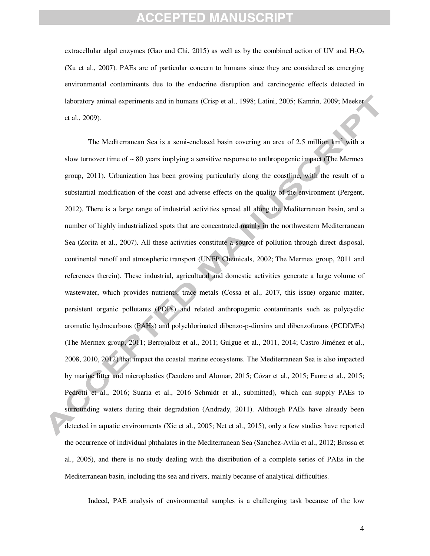extracellular algal enzymes (Gao and Chi, 2015) as well as by the combined action of UV and  $H_2O_2$ (Xu et al., 2007). PAEs are of particular concern to humans since they are considered as emerging environmental contaminants due to the endocrine disruption and carcinogenic effects detected in laboratory animal experiments and in humans (Crisp et al., 1998; Latini, 2005; Kamrin, 2009; Meeker et al., 2009).

The Mediterranean Sea is a semi-enclosed basin covering an area of 2.5 million km<sup>2</sup> with a slow turnover time of  $\sim 80$  years implying a sensitive response to anthropogenic impact (The Mermex group, 2011). Urbanization has been growing particularly along the coastline, with the result of a substantial modification of the coast and adverse effects on the quality of the environment (Pergent, 2012). There is a large range of industrial activities spread all along the Mediterranean basin, and a number of highly industrialized spots that are concentrated mainly in the northwestern Mediterranean Sea (Zorita et al., 2007). All these activities constitute a source of pollution through direct disposal, continental runoff and atmospheric transport (UNEP Chemicals, 2002; The Mermex group, 2011 and references therein). These industrial, agricultural and domestic activities generate a large volume of wastewater, which provides nutrients, trace metals (Cossa et al., 2017, this issue) organic matter, persistent organic pollutants (POPs) and related anthropogenic contaminants such as polycyclic aromatic hydrocarbons (PAHs) and polychlorinated dibenzo-p-dioxins and dibenzofurans (PCDD/Fs) (The Mermex group, 2011; Berrojalbiz et al., 2011; Guigue et al., 2011, 2014; Castro-Jiménez et al., 2008, 2010, 2012) that impact the coastal marine ecosystems. The Mediterranean Sea is also impacted by marine litter and microplastics (Deudero and Alomar, 2015; Cózar et al., 2015; Faure et al., 2015; Pedrotti et al., 2016; Suaria et al., 2016 Schmidt et al., submitted), which can supply PAEs to surrounding waters during their degradation (Andrady, 2011). Although PAEs have already been detected in aquatic environments (Xie et al., 2005; Net et al., 2015), only a few studies have reported the occurrence of individual phthalates in the Mediterranean Sea (Sanchez-Avila et al., 2012; Brossa et al., 2005), and there is no study dealing with the distribution of a complete series of PAEs in the Mediterranean basin, including the sea and rivers, mainly because of analytical difficulties.

Indeed, PAE analysis of environmental samples is a challenging task because of the low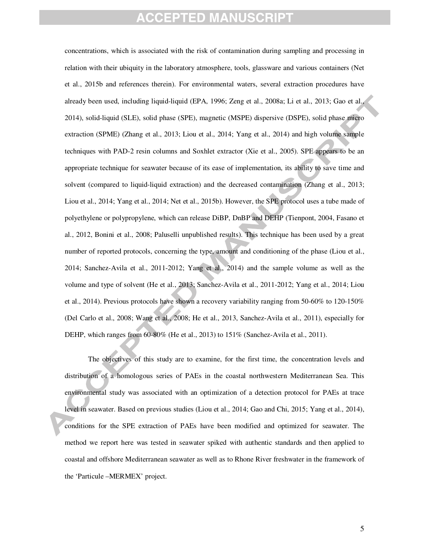concentrations, which is associated with the risk of contamination during sampling and processing in relation with their ubiquity in the laboratory atmosphere, tools, glassware and various containers (Net et al., 2015b and references therein). For environmental waters, several extraction procedures have already been used, including liquid-liquid (EPA, 1996; Zeng et al., 2008a; Li et al., 2013; Gao et al., 2014), solid-liquid (SLE), solid phase (SPE), magnetic (MSPE) dispersive (DSPE), solid phase micro extraction (SPME) (Zhang et al., 2013; Liou et al., 2014; Yang et al., 2014) and high volume sample techniques with PAD-2 resin columns and Soxhlet extractor (Xie et al., 2005). SPE appears to be an appropriate technique for seawater because of its ease of implementation, its ability to save time and solvent (compared to liquid-liquid extraction) and the decreased contamination (Zhang et al., 2013; Liou et al., 2014; Yang et al., 2014; Net et al., 2015b). However, the SPE protocol uses a tube made of polyethylene or polypropylene, which can release DiBP, DnBP and DEHP (Tienpont, 2004, Fasano et al., 2012, Bonini et al., 2008; Paluselli unpublished results). This technique has been used by a great number of reported protocols, concerning the type, amount and conditioning of the phase (Liou et al., 2014; Sanchez-Avila et al., 2011-2012; Yang et al., 2014) and the sample volume as well as the volume and type of solvent (He et al., 2013; Sanchez-Avila et al., 2011-2012; Yang et al., 2014; Liou et al., 2014). Previous protocols have shown a recovery variability ranging from 50-60% to 120-150% (Del Carlo et al., 2008; Wang et al., 2008; He et al., 2013, Sanchez-Avila et al., 2011), especially for DEHP, which ranges from 60-80% (He et al., 2013) to 151% (Sanchez-Avila et al., 2011).

The objectives of this study are to examine, for the first time, the concentration levels and distribution of a homologous series of PAEs in the coastal northwestern Mediterranean Sea. This environmental study was associated with an optimization of a detection protocol for PAEs at trace level in seawater. Based on previous studies (Liou et al., 2014; Gao and Chi, 2015; Yang et al., 2014), conditions for the SPE extraction of PAEs have been modified and optimized for seawater. The method we report here was tested in seawater spiked with authentic standards and then applied to coastal and offshore Mediterranean seawater as well as to Rhone River freshwater in the framework of the 'Particule –MERMEX' project.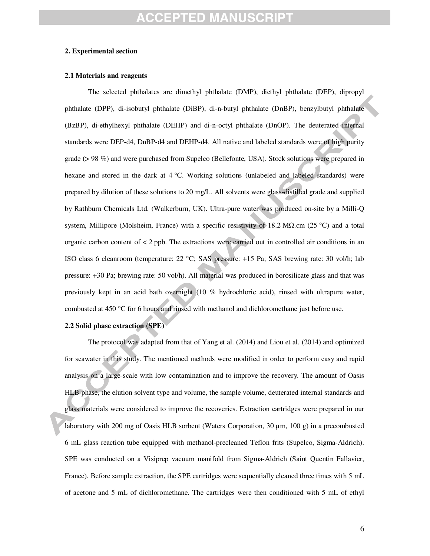### **2. Experimental section**

#### **2.1 Materials and reagents**

The selected phthalates are dimethyl phthalate (DMP), diethyl phthalate (DEP), dipropyl phthalate (DPP), di-isobutyl phthalate (DiBP), di-n-butyl phthalate (DnBP), benzylbutyl phthalate (BzBP), di-ethylhexyl phthalate (DEHP) and di-n-octyl phthalate (DnOP). The deuterated internal standards were DEP-d4, DnBP-d4 and DEHP-d4. All native and labeled standards were of high purity grade (> 98 %) and were purchased from Supelco (Bellefonte, USA). Stock solutions were prepared in hexane and stored in the dark at 4 °C. Working solutions (unlabeled and labeled standards) were prepared by dilution of these solutions to 20 mg/L. All solvents were glass-distilled grade and supplied by Rathburn Chemicals Ltd. (Walkerburn, UK). Ultra-pure water was produced on-site by a Milli-Q system, Millipore (Molsheim, France) with a specific resistivity of 18.2 MΩ.cm (25 °C) and a total organic carbon content of < 2 ppb. The extractions were carried out in controlled air conditions in an ISO class 6 cleanroom (temperature: 22 °C; SAS pressure: +15 Pa; SAS brewing rate: 30 vol/h; lab pressure: +30 Pa; brewing rate: 50 vol/h). All material was produced in borosilicate glass and that was previously kept in an acid bath overnight (10 % hydrochloric acid), rinsed with ultrapure water, combusted at 450 °C for 6 hours and rinsed with methanol and dichloromethane just before use.

### **2.2 Solid phase extraction (SPE)**

 The protocol was adapted from that of Yang et al. (2014) and Liou et al. (2014) and optimized for seawater in this study. The mentioned methods were modified in order to perform easy and rapid analysis on a large-scale with low contamination and to improve the recovery. The amount of Oasis HLB phase, the elution solvent type and volume, the sample volume, deuterated internal standards and glass materials were considered to improve the recoveries. Extraction cartridges were prepared in our laboratory with 200 mg of Oasis HLB sorbent (Waters Corporation, 30 µm, 100 g) in a precombusted 6 mL glass reaction tube equipped with methanol-precleaned Teflon frits (Supelco, Sigma-Aldrich). SPE was conducted on a Visiprep vacuum manifold from Sigma-Aldrich (Saint Quentin Fallavier, France). Before sample extraction, the SPE cartridges were sequentially cleaned three times with 5 mL of acetone and 5 mL of dichloromethane. The cartridges were then conditioned with 5 mL of ethyl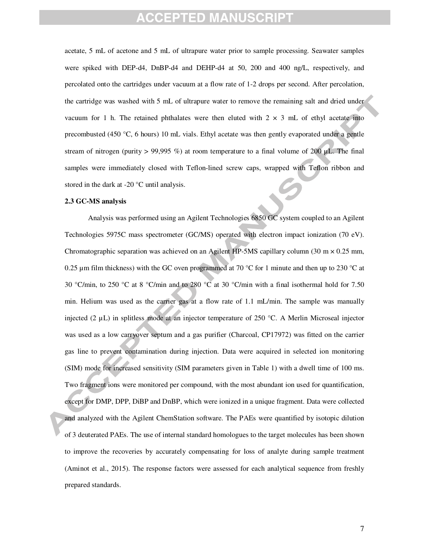acetate, 5 mL of acetone and 5 mL of ultrapure water prior to sample processing. Seawater samples were spiked with DEP-d4, DnBP-d4 and DEHP-d4 at 50, 200 and 400 ng/L, respectively, and percolated onto the cartridges under vacuum at a flow rate of 1-2 drops per second. After percolation, the cartridge was washed with 5 mL of ultrapure water to remove the remaining salt and dried under vacuum for 1 h. The retained phthalates were then eluted with  $2 \times 3$  mL of ethyl acetate into precombusted (450 °C, 6 hours) 10 mL vials. Ethyl acetate was then gently evaporated under a gentle stream of nitrogen (purity > 99,995 %) at room temperature to a final volume of 200  $\mu$ L. The final samples were immediately closed with Teflon-lined screw caps, wrapped with Teflon ribbon and stored in the dark at -20 °C until analysis.

### **2.3 GC-MS analysis**

Analysis was performed using an Agilent Technologies 6850 GC system coupled to an Agilent Technologies 5975C mass spectrometer (GC/MS) operated with electron impact ionization (70 eV). Chromatographic separation was achieved on an Agilent HP-5MS capillary column (30 m × 0.25 mm, 0.25 µm film thickness) with the GC oven programmed at 70 °C for 1 minute and then up to 230 °C at 30 °C/min, to 250 °C at 8 °C/min and to 280 °C at 30 °C/min with a final isothermal hold for 7.50 min. Helium was used as the carrier gas at a flow rate of 1.1 mL/min. The sample was manually injected (2  $\mu$ L) in splitless mode at an injector temperature of 250 °C. A Merlin Microseal injector was used as a low carryover septum and a gas purifier (Charcoal, CP17972) was fitted on the carrier gas line to prevent contamination during injection. Data were acquired in selected ion monitoring (SIM) mode for increased sensitivity (SIM parameters given in Table 1) with a dwell time of 100 ms. Two fragment ions were monitored per compound, with the most abundant ion used for quantification, except for DMP, DPP, DiBP and DnBP, which were ionized in a unique fragment. Data were collected and analyzed with the Agilent ChemStation software. The PAEs were quantified by isotopic dilution of 3 deuterated PAEs. The use of internal standard homologues to the target molecules has been shown to improve the recoveries by accurately compensating for loss of analyte during sample treatment (Aminot et al., 2015). The response factors were assessed for each analytical sequence from freshly prepared standards.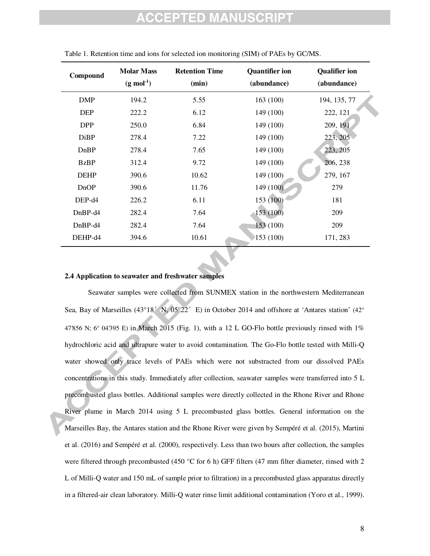# EPTED MANU

| Compound    | <b>Molar Mass</b><br>$(g \mod^{-1})$ | <b>Retention Time</b><br>(min) | <b>Quantifier ion</b><br>(abundance) | <b>Qualifier ion</b><br>(abundance) |
|-------------|--------------------------------------|--------------------------------|--------------------------------------|-------------------------------------|
| <b>DMP</b>  | 194.2                                | 5.55                           | 163(100)                             | 194, 135, 77                        |
| <b>DEP</b>  | 222.2                                | 6.12                           | 149 (100)                            | 222, 121                            |
| <b>DPP</b>  | 250.0                                | 6.84                           | 149 (100)                            | 209, 191                            |
| <b>DiBP</b> | 278.4                                | 7.22                           | 149 (100)                            | 223, 205                            |
| DnBP        | 278.4                                | 7.65                           | 149 (100)                            | 223, 205                            |
| <b>BzBP</b> | 312.4                                | 9.72                           | 149 (100)                            | 206, 238                            |
| <b>DEHP</b> | 390.6                                | 10.62                          | 149 (100)                            | 279, 167                            |
| DnOP        | 390.6                                | 11.76                          | 149 (100)                            | 279                                 |
| DEP-d4      | 226.2                                | 6.11                           | 153 (100)                            | 181                                 |
| DnBP-d4     | 282.4                                | 7.64                           | 153 (100)                            | 209                                 |
| $DnBP-d4$   | 282.4                                | 7.64                           | 153(100)                             | 209                                 |
| DEHP-d4     | 394.6                                | 10.61                          | 153 (100)                            | 171, 283                            |

Table 1. Retention time and ions for selected ion monitoring (SIM) of PAEs by GC/MS.

### **2.4 Application to seawater and freshwater samples**

Seawater samples were collected from SUNMEX station in the northwestern Mediterranean Sea, Bay of Marseilles (43°18′N, 05°22′E) in October 2014 and offshore at 'Antares station' (42° 47'856 N; 6° 04'395 E) in March 2015 (Fig. 1), with a 12 L GO-Flo bottle previously rinsed with  $1\%$ hydrochloric acid and ultrapure water to avoid contamination. The Go-Flo bottle tested with Milli-Q water showed only trace levels of PAEs which were not substracted from our dissolved PAEs concentrations in this study. Immediately after collection, seawater samples were transferred into 5 L precombusted glass bottles. Additional samples were directly collected in the Rhone River and Rhone River plume in March 2014 using 5 L precombusted glass bottles. General information on the Marseilles Bay, the Antares station and the Rhone River were given by Sempéré et al. (2015), Martini et al. (2016) and Sempéré et al. (2000), respectively. Less than two hours after collection, the samples were filtered through precombusted (450 °C for 6 h) GFF filters (47 mm filter diameter, rinsed with 2 L of Milli-Q water and 150 mL of sample prior to filtration) in a precombusted glass apparatus directly in a filtered-air clean laboratory. Milli-Q water rinse limit additional contamination (Yoro et al., 1999).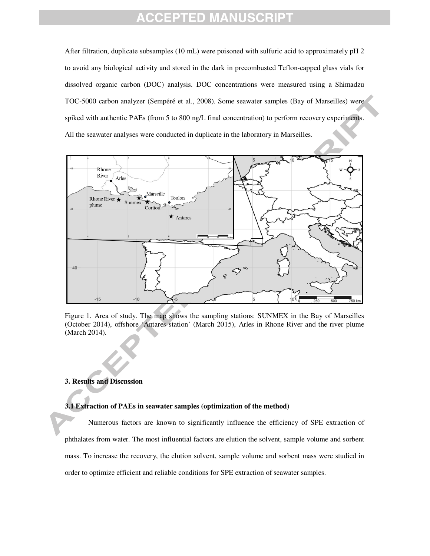After filtration, duplicate subsamples (10 mL) were poisoned with sulfuric acid to approximately pH 2 to avoid any biological activity and stored in the dark in precombusted Teflon-capped glass vials for dissolved organic carbon (DOC) analysis. DOC concentrations were measured using a Shimadzu TOC-5000 carbon analyzer (Sempéré et al., 2008). Some seawater samples (Bay of Marseilles) were spiked with authentic PAEs (from 5 to 800 ng/L final concentration) to perform recovery experiments. All the seawater analyses were conducted in duplicate in the laboratory in Marseilles.



Figure 1. Area of study. The map shows the sampling stations: SUNMEX in the Bay of Marseilles (October 2014), offshore 'Antares station' (March 2015), Arles in Rhone River and the river plume (March 2014).

### **3. Results and Discussion**

#### **3.1 Extraction of PAEs in seawater samples (optimization of the method)**

Numerous factors are known to significantly influence the efficiency of SPE extraction of phthalates from water. The most influential factors are elution the solvent, sample volume and sorbent mass. To increase the recovery, the elution solvent, sample volume and sorbent mass were studied in order to optimize efficient and reliable conditions for SPE extraction of seawater samples.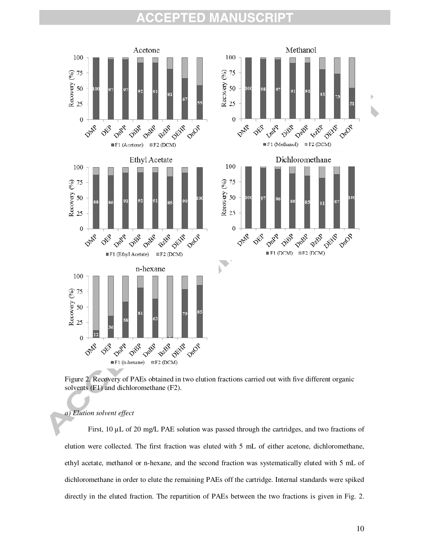

Figure 2. Recovery of PAEs obtained in two elution fractions carried out with five different organic solvents (F1) and dichloromethane (F2).

### *a) Elution solvent effect*

First, 10 µL of 20 mg/L PAE solution was passed through the cartridges, and two fractions of elution were collected. The first fraction was eluted with 5 mL of either acetone, dichloromethane, ethyl acetate, methanol or n-hexane, and the second fraction was systematically eluted with 5 mL of dichloromethane in order to elute the remaining PAEs off the cartridge. Internal standards were spiked directly in the eluted fraction. The repartition of PAEs between the two fractions is given in Fig. 2.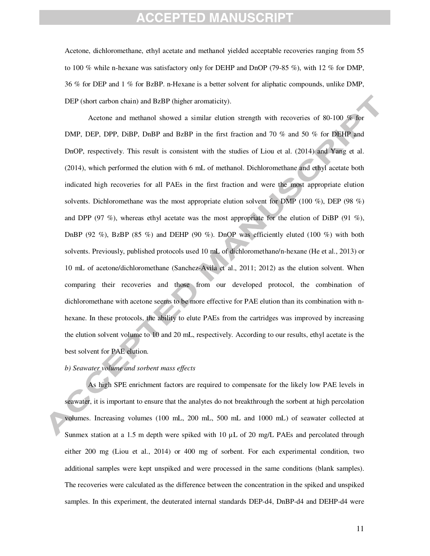Acetone, dichloromethane, ethyl acetate and methanol yielded acceptable recoveries ranging from 55 to 100 % while n-hexane was satisfactory only for DEHP and DnOP (79-85 %), with 12 % for DMP, 36 % for DEP and 1 % for BzBP. n-Hexane is a better solvent for aliphatic compounds, unlike DMP, DEP (short carbon chain) and BzBP (higher aromaticity).

Acetone and methanol showed a similar elution strength with recoveries of 80-100 % for DMP, DEP, DPP, DiBP, DnBP and BzBP in the first fraction and 70 % and 50 % for DEHP and DnOP, respectively. This result is consistent with the studies of Liou et al. (2014) and Yang et al. (2014), which performed the elution with 6 mL of methanol. Dichloromethane and ethyl acetate both indicated high recoveries for all PAEs in the first fraction and were the most appropriate elution solvents. Dichloromethane was the most appropriate elution solvent for DMP (100 %), DEP (98 %) and DPP (97 %), whereas ethyl acetate was the most appropriate for the elution of DiBP (91 %), DnBP (92 %), BzBP (85 %) and DEHP (90 %). DnOP was efficiently eluted (100 %) with both solvents. Previously, published protocols used 10 mL of dichloromethane/n-hexane (He et al., 2013) or 10 mL of acetone/dichloromethane (Sanchez-Avila et al., 2011; 2012) as the elution solvent. When comparing their recoveries and those from our developed protocol, the combination of dichloromethane with acetone seems to be more effective for PAE elution than its combination with nhexane. In these protocols, the ability to elute PAEs from the cartridges was improved by increasing the elution solvent volume to 10 and 20 mL, respectively. According to our results, ethyl acetate is the best solvent for PAE elution.

### *b) Seawater volume and sorbent mass effects*

As high SPE enrichment factors are required to compensate for the likely low PAE levels in seawater, it is important to ensure that the analytes do not breakthrough the sorbent at high percolation volumes. Increasing volumes (100 mL, 200 mL, 500 mL and 1000 mL) of seawater collected at Sunmex station at a 1.5 m depth were spiked with 10  $\mu$ L of 20 mg/L PAEs and percolated through either 200 mg (Liou et al., 2014) or 400 mg of sorbent. For each experimental condition, two additional samples were kept unspiked and were processed in the same conditions (blank samples). The recoveries were calculated as the difference between the concentration in the spiked and unspiked samples. In this experiment, the deuterated internal standards DEP-d4, DnBP-d4 and DEHP-d4 were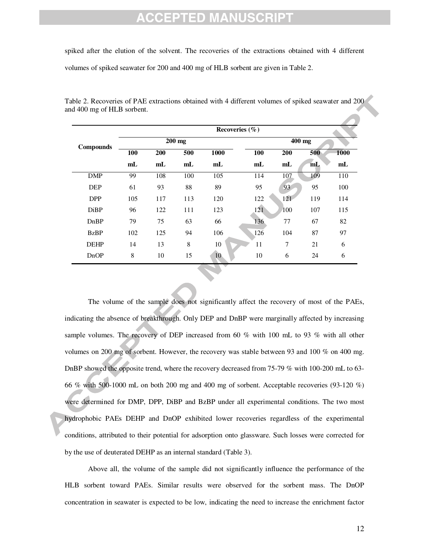# :PTED

spiked after the elution of the solvent. The recoveries of the extractions obtained with 4 different volumes of spiked seawater for 200 and 400 mg of HLB sorbent are given in Table 2.

|             | Recoveries $(\% )$ |                |                |                |                |                |     |                |  |  |  |
|-------------|--------------------|----------------|----------------|----------------|----------------|----------------|-----|----------------|--|--|--|
| Compounds   |                    |                | $200$ mg       |                | 400 mg         |                |     |                |  |  |  |
|             | 100                | 200            | 500            | 1000           | 100            | 200            | 500 | 1000           |  |  |  |
|             | m <sub>L</sub>     | m <sub>L</sub> | m <sub>L</sub> | m <sub>L</sub> | m <sub>L</sub> | m <sub>L</sub> | mL  | m <sub>L</sub> |  |  |  |
| <b>DMP</b>  | 99                 | 108            | 100            | 105            | 114            | 107            | 109 | 110            |  |  |  |
| <b>DEP</b>  | 61                 | 93             | 88             | 89             | 95             | 93             | 95  | 100            |  |  |  |
| <b>DPP</b>  | 105                | 117            | 113            | 120            | 122            | 121            | 119 | 114            |  |  |  |
| <b>DiBP</b> | 96                 | 122            | 111            | 123            | 121            | <b>100</b>     | 107 | 115            |  |  |  |
| DnBP        | 79                 | 75             | 63             | 66             | 136            | 77             | 67  | 82             |  |  |  |
| <b>BzBP</b> | 102                | 125            | 94             | 106            | 126            | 104            | 87  | 97             |  |  |  |
| <b>DEHP</b> | 14                 | 13             | 8              | 10             | 11             | 7              | 21  | 6              |  |  |  |
| DnOP        | 8                  | 10             | 15             | 10             | 10             | 6              | 24  | 6              |  |  |  |

Table 2. Recoveries of PAE extractions obtained with 4 different volumes of spiked seawater and 200 and 400 mg of HLB sorbent.

The volume of the sample does not significantly affect the recovery of most of the PAEs, indicating the absence of breakthrough. Only DEP and DnBP were marginally affected by increasing sample volumes. The recovery of DEP increased from 60 % with 100 mL to 93 % with all other volumes on 200 mg of sorbent. However, the recovery was stable between 93 and 100 % on 400 mg. DnBP showed the opposite trend, where the recovery decreased from 75-79 % with 100-200 mL to 63- 66 % with 500-1000 mL on both 200 mg and 400 mg of sorbent. Acceptable recoveries (93-120 %) were determined for DMP, DPP, DiBP and BzBP under all experimental conditions. The two most hydrophobic PAEs DEHP and DnOP exhibited lower recoveries regardless of the experimental conditions, attributed to their potential for adsorption onto glassware. Such losses were corrected for by the use of deuterated DEHP as an internal standard (Table 3).

Above all, the volume of the sample did not significantly influence the performance of the HLB sorbent toward PAEs. Similar results were observed for the sorbent mass. The DnOP concentration in seawater is expected to be low, indicating the need to increase the enrichment factor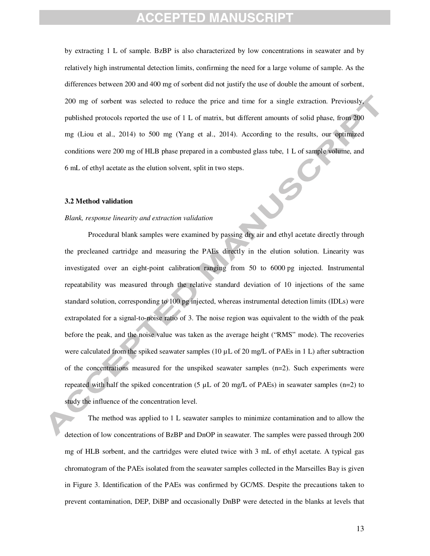by extracting 1 L of sample. BzBP is also characterized by low concentrations in seawater and by relatively high instrumental detection limits, confirming the need for a large volume of sample. As the differences between 200 and 400 mg of sorbent did not justify the use of double the amount of sorbent, 200 mg of sorbent was selected to reduce the price and time for a single extraction. Previously, published protocols reported the use of 1 L of matrix, but different amounts of solid phase, from 200 mg (Liou et al., 2014) to 500 mg (Yang et al., 2014). According to the results, our optimized conditions were 200 mg of HLB phase prepared in a combusted glass tube, 1 L of sample volume, and 6 mL of ethyl acetate as the elution solvent, split in two steps.

#### **3.2 Method validation**

#### *Blank, response linearity and extraction validation*

Procedural blank samples were examined by passing dry air and ethyl acetate directly through the precleaned cartridge and measuring the PAEs directly in the elution solution. Linearity was investigated over an eight-point calibration ranging from 50 to 6000 pg injected. Instrumental repeatability was measured through the relative standard deviation of 10 injections of the same standard solution, corresponding to 100 pg injected, whereas instrumental detection limits (IDLs) were extrapolated for a signal-to-noise ratio of 3. The noise region was equivalent to the width of the peak before the peak, and the noise value was taken as the average height ("RMS" mode). The recoveries were calculated from the spiked seawater samples (10  $\mu$ L of 20 mg/L of PAEs in 1 L) after subtraction of the concentrations measured for the unspiked seawater samples (n=2). Such experiments were repeated with half the spiked concentration (5  $\mu$ L of 20 mg/L of PAEs) in seawater samples (n=2) to study the influence of the concentration level.

The method was applied to 1 L seawater samples to minimize contamination and to allow the detection of low concentrations of BzBP and DnOP in seawater. The samples were passed through 200 mg of HLB sorbent, and the cartridges were eluted twice with 3 mL of ethyl acetate. A typical gas chromatogram of the PAEs isolated from the seawater samples collected in the Marseilles Bay is given in Figure 3. Identification of the PAEs was confirmed by GC/MS. Despite the precautions taken to prevent contamination, DEP, DiBP and occasionally DnBP were detected in the blanks at levels that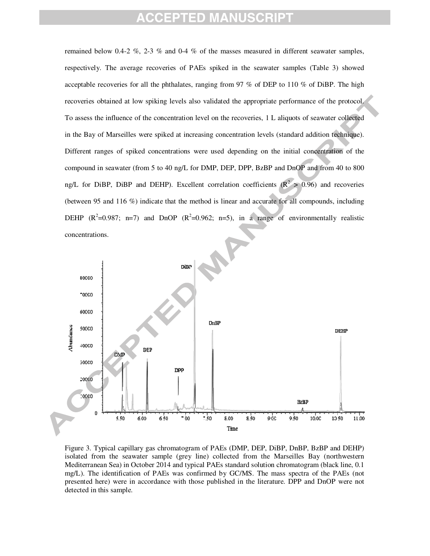remained below 0.4-2 %, 2-3 % and 0-4 % of the masses measured in different seawater samples, respectively. The average recoveries of PAEs spiked in the seawater samples (Table 3) showed acceptable recoveries for all the phthalates, ranging from 97 % of DEP to 110 % of DiBP. The high recoveries obtained at low spiking levels also validated the appropriate performance of the protocol. To assess the influence of the concentration level on the recoveries, 1 L aliquots of seawater collected in the Bay of Marseilles were spiked at increasing concentration levels (standard addition technique). Different ranges of spiked concentrations were used depending on the initial concentration of the compound in seawater (from 5 to 40 ng/L for DMP, DEP, DPP, BzBP and DnOP and from 40 to 800 ng/L for DiBP, DiBP and DEHP). Excellent correlation coefficients ( $\mathbb{R}^2 > 0.96$ ) and recoveries (between 95 and 116 %) indicate that the method is linear and accurate for all compounds, including DEHP  $(R^2=0.987; n=7)$  and DnOP  $(R^2=0.962; n=5)$ , in a range of environmentally realistic concentrations.



Figure 3. Typical capillary gas chromatogram of PAEs (DMP, DEP, DiBP, DnBP, BzBP and DEHP) isolated from the seawater sample (grey line) collected from the Marseilles Bay (northwestern Mediterranean Sea) in October 2014 and typical PAEs standard solution chromatogram (black line, 0.1 mg/L). The identification of PAEs was confirmed by GC/MS. The mass spectra of the PAEs (not presented here) were in accordance with those published in the literature. DPP and DnOP were not detected in this sample.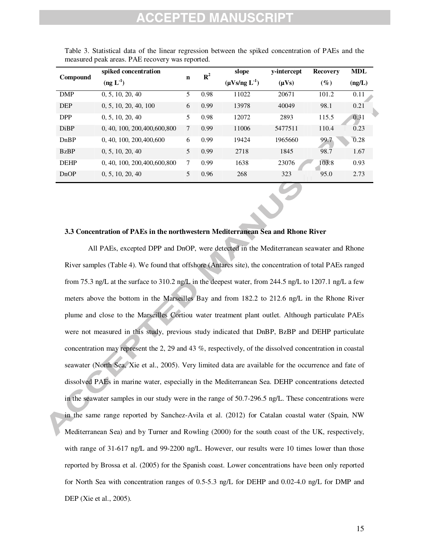| Compound    | spiked concentration           |             | $\mathbb{R}^2$ | slope                  | y-intercept | Recovery | <b>MDL</b> |
|-------------|--------------------------------|-------------|----------------|------------------------|-------------|----------|------------|
|             | $(\text{ng } L^{-1})$          | $\mathbf n$ |                | $(\mu V s /ng L^{-1})$ | $(\mu Vs)$  | $(\%)$   | (ng/L)     |
| <b>DMP</b>  | 0, 5, 10, 20, 40               | 5           | 0.98           | 11022                  | 20671       | 101.2    | 0.11       |
| <b>DEP</b>  | 0, 5, 10, 20, 40, 100          | 6           | 0.99           | 13978                  | 40049       | 98.1     | 0.21       |
| <b>DPP</b>  | 0, 5, 10, 20, 40               | 5           | 0.98           | 12072                  | 2893        | 115.5    | 0.31       |
| <b>DiBP</b> | 0, 40, 100, 200, 400, 600, 800 | 7           | 0.99           | 11006                  | 5477511     | 110.4    | 0.23       |
| DnBP        | 0, 40, 100, 200, 400, 600      | 6           | 0.99           | 19424                  | 1965660     | 99.7     | 0.28       |
| <b>BzBP</b> | 0, 5, 10, 20, 40               | 5           | 0.99           | 2718                   | 1845        | 98.7     | 1.67       |
| <b>DEHP</b> | 0, 40, 100, 200, 400, 600, 800 | 7           | 0.99           | 1638                   | 23076       | 103.8    | 0.93       |
| DnOP        | 0, 5, 10, 20, 40               | 5           | 0.96           | 268                    | 323         | 95.0     | 2.73       |

Table 3. Statistical data of the linear regression between the spiked concentration of PAEs and the measured peak areas. PAE recovery was reported.

### **3.3 Concentration of PAEs in the northwestern Mediterranean Sea and Rhone River**

All PAEs, excepted DPP and DnOP, were detected in the Mediterranean seawater and Rhone River samples (Table 4). We found that offshore (Antares site), the concentration of total PAEs ranged from 75.3 ng/L at the surface to 310.2 ng/L in the deepest water, from 244.5 ng/L to 1207.1 ng/L a few meters above the bottom in the Marseilles Bay and from 182.2 to 212.6 ng/L in the Rhone River plume and close to the Marseilles Cortiou water treatment plant outlet. Although particulate PAEs were not measured in this study, previous study indicated that DnBP, BzBP and DEHP particulate concentration may represent the 2, 29 and 43 %, respectively, of the dissolved concentration in coastal seawater (North Sea, Xie et al., 2005). Very limited data are available for the occurrence and fate of dissolved PAEs in marine water, especially in the Mediterranean Sea. DEHP concentrations detected in the seawater samples in our study were in the range of 50.7-296.5 ng/L. These concentrations were in the same range reported by Sanchez-Avila et al. (2012) for Catalan coastal water (Spain, NW Mediterranean Sea) and by Turner and Rowling (2000) for the south coast of the UK, respectively, with range of 31-617 ng/L and 99-2200 ng/L. However, our results were 10 times lower than those reported by Brossa et al. (2005) for the Spanish coast. Lower concentrations have been only reported for North Sea with concentration ranges of 0.5-5.3 ng/L for DEHP and 0.02-4.0 ng/L for DMP and DEP (Xie et al., 2005).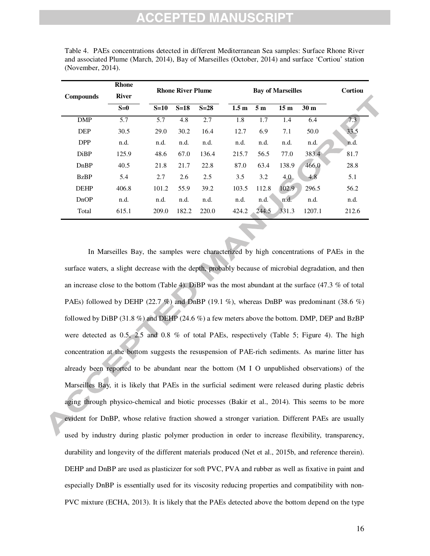# CCEPTED MANU

| <b>Compounds</b> | <b>Rhone</b><br><b>River</b> |        | <b>Rhone River Plume</b> |        |                  | <b>Bay of Marseilles</b> | Cortiou         |                 |       |
|------------------|------------------------------|--------|--------------------------|--------|------------------|--------------------------|-----------------|-----------------|-------|
|                  | $S=0$                        | $S=10$ | $S=18$                   | $S=28$ | 1.5 <sub>m</sub> | 5 <sub>m</sub>           | 15 <sub>m</sub> | 30 <sub>m</sub> |       |
| DMP              | 5.7                          | 5.7    | 4.8                      | 2.7    | 1.8              | 1.7                      | 1.4             | 6.4             | 7.3   |
| <b>DEP</b>       | 30.5                         | 29.0   | 30.2                     | 16.4   | 12.7             | 6.9                      | 7.1             | 50.0            | 33.5  |
| <b>DPP</b>       | n.d.                         | n.d.   | n.d.                     | n.d.   | n.d.             | n.d.                     | n.d.            | n.d.            | n.d.  |
| <b>DiBP</b>      | 125.9                        | 48.6   | 67.0                     | 136.4  | 215.7            | 56.5                     | 77.0            | 383.4           | 81.7  |
| DnBP             | 40.5                         | 21.8   | 21.7                     | 22.8   | 87.0             | 63.4                     | 138.9           | 466.0           | 28.8  |
| <b>BzBP</b>      | 5.4                          | 2.7    | 2.6                      | 2.5    | 3.5              | 3.2                      | 4.0             | 4.8             | 5.1   |
| <b>DEHP</b>      | 406.8                        | 101.2  | 55.9                     | 39.2   | 103.5            | 112.8                    | 102.9           | 296.5           | 56.2  |
| DnOP             | n.d.                         | n.d.   | n.d.                     | n.d.   | n.d.             | n.d.                     | n.d.            | n.d.            | n.d.  |
| Total            | 615.1                        | 209.0  | 182.2                    | 220.0  | 424.2            | 244.5                    | 331.3           | 1207.1          | 212.6 |

Table 4. PAEs concentrations detected in different Mediterranean Sea samples: Surface Rhone River and associated Plume (March, 2014), Bay of Marseilles (October, 2014) and surface 'Cortiou' station (November, 2014).

In Marseilles Bay, the samples were characterized by high concentrations of PAEs in the surface waters, a slight decrease with the depth, probably because of microbial degradation, and then an increase close to the bottom (Table 4). DiBP was the most abundant at the surface (47.3 % of total PAEs) followed by DEHP (22.7 %) and DnBP (19.1 %), whereas DnBP was predominant (38.6 %) followed by DiBP (31.8 %) and DEHP (24.6 %) a few meters above the bottom. DMP, DEP and BzBP were detected as 0.5, 2.5 and 0.8 % of total PAEs, respectively (Table 5; Figure 4). The high concentration at the bottom suggests the resuspension of PAE-rich sediments. As marine litter has already been reported to be abundant near the bottom (M I O unpublished observations) of the Marseilles Bay, it is likely that PAEs in the surficial sediment were released during plastic debris aging through physico-chemical and biotic processes (Bakir et al., 2014). This seems to be more evident for DnBP, whose relative fraction showed a stronger variation. Different PAEs are usually used by industry during plastic polymer production in order to increase flexibility, transparency, durability and longevity of the different materials produced (Net et al., 2015b, and reference therein). DEHP and DnBP are used as plasticizer for soft PVC, PVA and rubber as well as fixative in paint and especially DnBP is essentially used for its viscosity reducing properties and compatibility with non-PVC mixture (ECHA, 2013). It is likely that the PAEs detected above the bottom depend on the type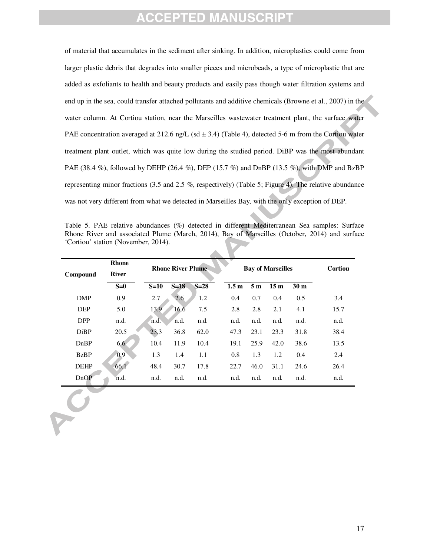of material that accumulates in the sediment after sinking. In addition, microplastics could come from larger plastic debris that degrades into smaller pieces and microbeads, a type of microplastic that are added as exfoliants to health and beauty products and easily pass though water filtration systems and end up in the sea, could transfer attached pollutants and additive chemicals (Browne et al., 2007) in the water column. At Cortiou station, near the Marseilles wastewater treatment plant, the surface water PAE concentration averaged at 212.6 ng/L (sd  $\pm$  3.4) (Table 4), detected 5-6 m from the Cortiou water treatment plant outlet, which was quite low during the studied period. DiBP was the most abundant PAE (38.4 %), followed by DEHP (26.4 %), DEP (15.7 %) and DnBP (13.5 %), with DMP and BzBP representing minor fractions (3.5 and 2.5 %, respectively) (Table 5; Figure 4). The relative abundance was not very different from what we detected in Marseilles Bay, with the only exception of DEP.

| Table 5. PAE relative abundances (%) detected in different Mediterranean Sea samples: Surface |  |  |
|-----------------------------------------------------------------------------------------------|--|--|
| Rhone River and associated Plume (March, 2014), Bay of Marseilles (October, 2014) and surface |  |  |
| 'Cortiou' station (November, 2014).                                                           |  |  |

| Compound    | <b>Rhone</b><br><b>River</b> |        | <b>Rhone River Plume</b> |        |  | <b>Bay of Marseilles</b> | Cortiou        |                 |                 |      |
|-------------|------------------------------|--------|--------------------------|--------|--|--------------------------|----------------|-----------------|-----------------|------|
|             | $S=0$                        | $S=10$ | $S=18$                   | $S=28$ |  | 1.5 <sub>m</sub>         | 5 <sub>m</sub> | 15 <sub>m</sub> | 30 <sub>m</sub> |      |
| <b>DMP</b>  | 0.9                          | 2.7    | 2.6                      | 1.2    |  | 0.4                      | 0.7            | 0.4             | 0.5             | 3.4  |
| <b>DEP</b>  | 5.0                          | 13.9   | 16.6                     | 7.5    |  | 2.8                      | 2.8            | 2.1             | 4.1             | 15.7 |
| <b>DPP</b>  | n.d.                         | n.d.   | n.d.                     | n.d.   |  | n.d.                     | n.d.           | n.d.            | n.d.            | n.d. |
| <b>DiBP</b> | 20.5                         | 23.3   | 36.8                     | 62.0   |  | 47.3                     | 23.1           | 23.3            | 31.8            | 38.4 |
| DnBP        | 6.6 <sub>1</sub>             | 10.4   | 11.9                     | 10.4   |  | 19.1                     | 25.9           | 42.0            | 38.6            | 13.5 |
| <b>BzBP</b> | 0.9                          | 1.3    | 1.4                      | 1.1    |  | $0.8\,$                  | 1.3            | 1.2             | 0.4             | 2.4  |
| <b>DEHP</b> | 66.1                         | 48.4   | 30.7                     | 17.8   |  | 22.7                     | 46.0           | 31.1            | 24.6            | 26.4 |
| DnOP        | n.d.                         | n.d.   | n.d.                     | n.d.   |  | n.d.                     | n.d.           | n.d.            | n.d.            | n.d. |
|             |                              |        |                          |        |  |                          |                |                 |                 |      |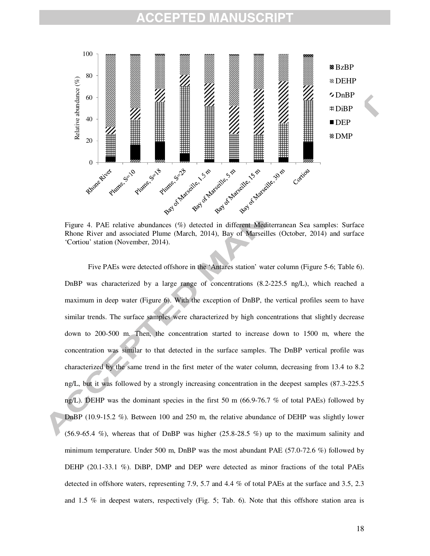#### ΞD MANU



Figure 4. PAE relative abundances (%) detected in different Mediterranean Sea samples: Surface Rhone River and associated Plume (March, 2014), Bay of Marseilles (October, 2014) and surface 'Cortiou' station (November, 2014).

Five PAEs were detected offshore in the 'Antares station' water column (Figure 5-6; Table 6). DnBP was characterized by a large range of concentrations (8.2-225.5 ng/L), which reached a maximum in deep water (Figure 6). With the exception of DnBP, the vertical profiles seem to have similar trends. The surface samples were characterized by high concentrations that slightly decrease down to 200-500 m. Then, the concentration started to increase down to 1500 m, where the concentration was similar to that detected in the surface samples. The DnBP vertical profile was characterized by the same trend in the first meter of the water column, decreasing from 13.4 to 8.2 ng/L, but it was followed by a strongly increasing concentration in the deepest samples (87.3-225.5 ng/L). DEHP was the dominant species in the first 50 m (66.9-76.7 % of total PAEs) followed by DnBP (10.9-15.2 %). Between 100 and 250 m, the relative abundance of DEHP was slightly lower  $(56.9-65.4 \%)$ , whereas that of DnBP was higher  $(25.8-28.5 \%)$  up to the maximum salinity and minimum temperature. Under 500 m, DnBP was the most abundant PAE (57.0-72.6 %) followed by DEHP (20.1-33.1 %). DiBP, DMP and DEP were detected as minor fractions of the total PAEs detected in offshore waters, representing 7.9, 5.7 and 4.4 % of total PAEs at the surface and 3.5, 2.3 and 1.5 % in deepest waters, respectively (Fig. 5; Tab. 6). Note that this offshore station area is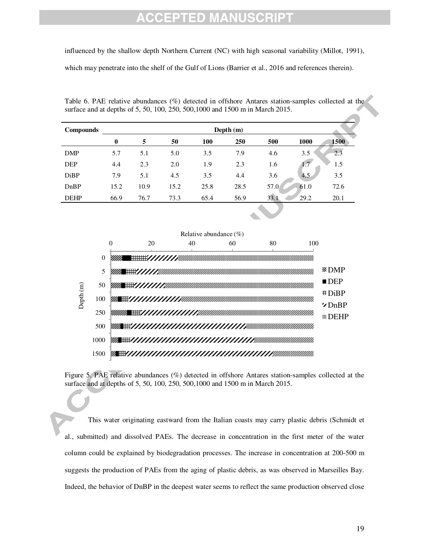# EPTED MANU

influenced by the shallow depth Northern Current (NC) with high seasonal variability (Millot, 1991),

which may penetrate into the shelf of the Gulf of Lions (Barrier et al., 2016 and references therein).

Table 6. PAE relative abundances (%) detected in offshore Antares station-samples collected at the surface and at depths of 5, 50, 100, 250, 500,1000 and 1500 m in March 2015.

| <b>Compounds</b> | Depth $(m)$ |      |      |      |      |      |      |      |  |  |  |
|------------------|-------------|------|------|------|------|------|------|------|--|--|--|
|                  | $\bf{0}$    | 5    | 50   | 100  | 250  | 500  | 1000 | 1500 |  |  |  |
| <b>DMP</b>       | 5.7         | 5.1  | 5.0  | 3.5  | 7.9  | 4.6  | 3.5  | 2.3  |  |  |  |
| <b>DEP</b>       | 4.4         | 2.3  | 2.0  | 1.9  | 2.3  | 1.6  | 1.7  | 1.5  |  |  |  |
| DiBP             | 7.9         | 5.1  | 4.5  | 3.5  | 4.4  | 3.6  | 4.5  | 3.5  |  |  |  |
| DnBP             | 15.2        | 10.9 | 15.2 | 25.8 | 28.5 | 57.0 | 61.0 | 72.6 |  |  |  |
| <b>DEHP</b>      | 66.9        | 76.7 | 73.3 | 65.4 | 56.9 | 33.1 | 29.2 | 20.1 |  |  |  |



Figure 5. PAE relative abundances (%) detected in offshore Antares station-samples collected at the surface and at depths of 5, 50, 100, 250, 500,1000 and 1500 m in March 2015.

This water originating eastward from the Italian coasts may carry plastic debris (Schmidt et al., submitted) and dissolved PAEs. The decrease in concentration in the first meter of the water column could be explained by biodegradation processes. The increase in concentration at 200-500 m suggests the production of PAEs from the aging of plastic debris, as was observed in Marseilles Bay. Indeed, the behavior of DnBP in the deepest water seems to reflect the same production observed close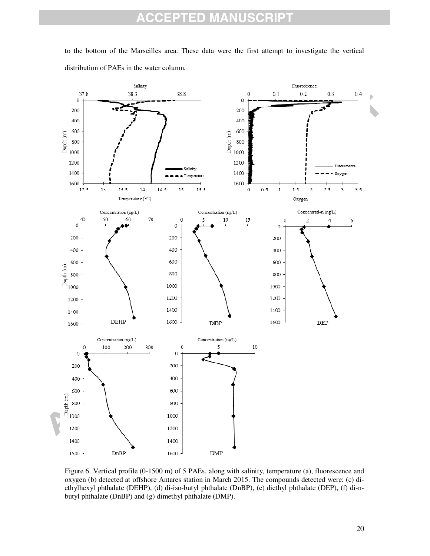#### **CCEPTED MANUSCRIPT**  $\overline{\mathbb{A}}$

to the bottom of the Marseilles area. These data were the first attempt to investigate the vertical distribution of PAEs in the water column.



Figure 6. Vertical profile (0-1500 m) of 5 PAEs, along with salinity, temperature (a), fluorescence and oxygen (b) detected at offshore Antares station in March 2015. The compounds detected were: (c) diethylhexyl phthalate (DEHP), (d) di-iso-butyl phthalate (DnBP), (e) diethyl phthalate (DEP), (f) di-nbutyl phthalate (DnBP) and (g) dimethyl phthalate (DMP).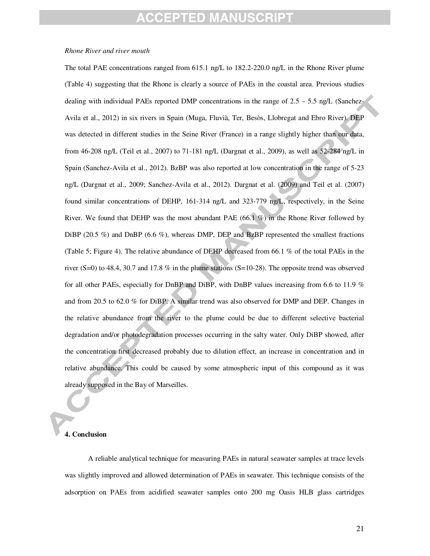## FPTED MANUSCRI

### *Rhone River and river mouth*

The total PAE concentrations ranged from 615.1 ng/L to 182.2-220.0 ng/L in the Rhone River plume (Table 4) suggesting that the Rhone is clearly a source of PAEs in the coastal area. Previous studies dealing with individual PAEs reported DMP concentrations in the range of  $2.5 - 5.5$  ng/L (Sanchez-Avila et al., 2012) in six rivers in Spain (Muga, Fluvià, Ter, Besòs, Llobregat and Ebro River). DEP was detected in different studies in the Seine River (France) in a range slightly higher than our data, from 46-208 ng/L (Teil et al., 2007) to 71-181 ng/L (Dargnat et al., 2009), as well as 52-284 ng/L in Spain (Sanchez-Avila et al., 2012). BzBP was also reported at low concentration in the range of 5-23 ng/L (Dargnat et al., 2009; Sanchez-Avila et al., 2012). Dargnat et al. (2009) and Teil et al. (2007) found similar concentrations of DEHP, 161-314 ng/L and 323-779 ng/L, respectively, in the Seine River. We found that DEHP was the most abundant PAE  $(66.1 \%)$  in the Rhone River followed by DiBP (20.5 %) and DnBP (6.6 %), whereas DMP, DEP and BzBP represented the smallest fractions (Table 5; Figure 4). The relative abundance of DEHP decreased from 66.1 % of the total PAEs in the river (S=0) to 48.4, 30.7 and 17.8 % in the plume stations (S=10-28). The opposite trend was observed for all other PAEs, especially for DnBP and DiBP, with DnBP values increasing from 6.6 to 11.9 % and from 20.5 to 62.0 % for DiBP. A similar trend was also observed for DMP and DEP. Changes in the relative abundance from the river to the plume could be due to different selective bacterial degradation and/or photodegradation processes occurring in the salty water. Only DiBP showed, after the concentration first decreased probably due to dilution effect, an increase in concentration and in relative abundance. This could be caused by some atmospheric input of this compound as it was already supposed in the Bay of Marseilles.

### **4. Conclusion**

A reliable analytical technique for measuring PAEs in natural seawater samples at trace levels was slightly improved and allowed determination of PAEs in seawater. This technique consists of the adsorption on PAEs from acidified seawater samples onto 200 mg Oasis HLB glass cartridges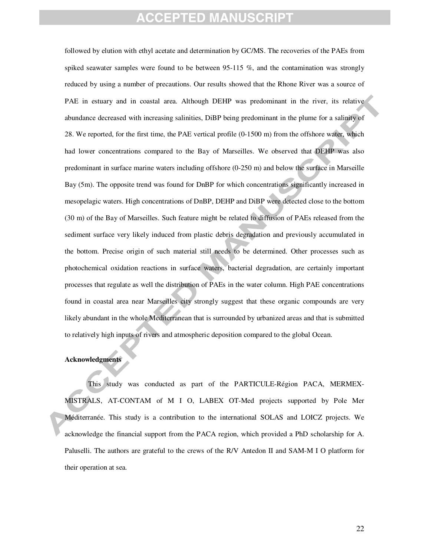followed by elution with ethyl acetate and determination by GC/MS. The recoveries of the PAEs from spiked seawater samples were found to be between 95-115 %, and the contamination was strongly reduced by using a number of precautions. Our results showed that the Rhone River was a source of PAE in estuary and in coastal area. Although DEHP was predominant in the river, its relative abundance decreased with increasing salinities, DiBP being predominant in the plume for a salinity of 28. We reported, for the first time, the PAE vertical profile (0-1500 m) from the offshore water, which had lower concentrations compared to the Bay of Marseilles. We observed that DEHP was also predominant in surface marine waters including offshore (0-250 m) and below the surface in Marseille Bay (5m). The opposite trend was found for DnBP for which concentrations significantly increased in mesopelagic waters. High concentrations of DnBP, DEHP and DiBP were detected close to the bottom (30 m) of the Bay of Marseilles. Such feature might be related to diffusion of PAEs released from the sediment surface very likely induced from plastic debris degradation and previously accumulated in the bottom. Precise origin of such material still needs to be determined. Other processes such as photochemical oxidation reactions in surface waters, bacterial degradation, are certainly important processes that regulate as well the distribution of PAEs in the water column. High PAE concentrations found in coastal area near Marseilles city strongly suggest that these organic compounds are very likely abundant in the whole Mediterranean that is surrounded by urbanized areas and that is submitted to relatively high inputs of rivers and atmospheric deposition compared to the global Ocean.

### **Acknowledgments**

This study was conducted as part of the PARTICULE-Région PACA, MERMEX-MISTRALS, AT-CONTAM of M I O, LABEX OT-Med projects supported by Pole Mer Méditerranée. This study is a contribution to the international SOLAS and LOICZ projects. We acknowledge the financial support from the PACA region, which provided a PhD scholarship for A. Paluselli. The authors are grateful to the crews of the R/V Antedon II and SAM-M I O platform for their operation at sea.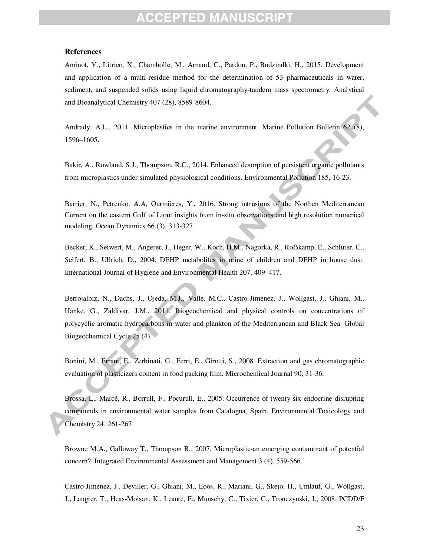# PTED MANU

### **References**

Aminot, Y., Litrico, X., Chambolle, M., Arnaud, C., Pardon, P., Budzindki, H., 2015. Development and application of a multi-residue method for the determination of 53 pharmaceuticals in water, sediment, and suspended solids using liquid chromatography-tandem mass spectrometry. Analytical and Bioanalytical Chemistry 407 (28), 8589-8604.

Andrady, A.L., 2011. Microplastics in the marine environment. Marine Pollution Bulletin 62 (8), 1596–1605.

Bakir, A., Rowland, S.J., Thompson, R.C., 2014. Enhanced desorption of persistent organic pollutants from microplastics under simulated physiological conditions. Environmental Pollution 185, 16-23.

Barrier, N., Petrenko, A.A, Ourmières, Y., 2016. Strong intrusions of the Northen Mediterranean Current on the eastern Gulf of Lion: insights from in-situ observations and high resolution numerical modeling. Ocean Dynamics 66 (3), 313-327.

Becker, K., Seiwert, M., Angerer, J., Heger, W., Koch, H.M., Nagorka, R., Roßkamp, E., Schluter, C., Seifert, B., Ullrich, D., 2004. DEHP metabolites in urine of children and DEHP in house dust*.* International Journal of Hygiene and Environmental Health 207, 409–417.

Berrojalbiz, N., Dachs, J., Ojeda, M.J., Valle, M.C., Castro-Jimenez, J., Wollgast, J., Ghiani, M., Hanke, G., Zaldivar, J.M., 2011. Biogeochemical and physical controls on concentrations of polycyclic aromatic hydrocarbons in water and plankton of the Mediterranean and Black Sea. Global Biogeochemical Cycle 25 (4).

Bonini, M., Errani, E., Zerbinati, G., Ferri, E., Girotti, S., 2008. Extraction and gas chromatographic evaluation of plasticizers content in food packing film. Microchemical Journal 90, 31-36.

Brossa, L., Marcé, R., Borrull, F., Pocurull, E., 2005. Occurrence of twenty-six endocrine-disrupting compounds in environmental water samples from Catalogna, Spain. Environmental Toxicology and Chemistry 24, 261-267.

Browne M.A., Galloway T., Thompson R., 2007. Microplastic-an emerging contaminant of potential concern?. Integrated Environmental Assessment and Management 3 (4), 559-566.

Castro-Jimenez, J., Deviller, G., Ghiani, M., Loos, R., Mariani, G., Skejo, H., Umlauf, G., Wollgast, J., Laugier, T., Heas-Moisan, K., Leaute, F., Munschy, C., Tixier, C., Tronczynski, J., 2008. PCDD/F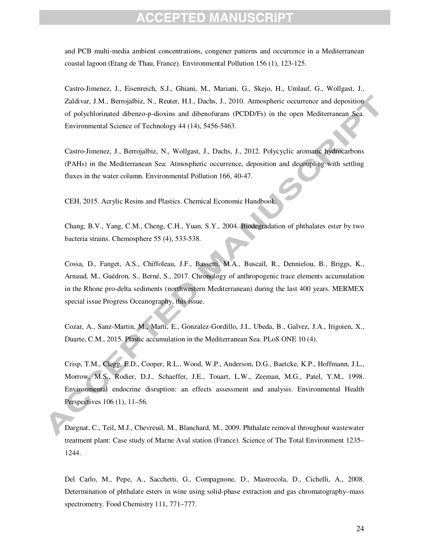# FPTFD MANL

and PCB multi-media ambient concentrations, congener patterns and occurrence in a Mediterranean coastal lagoon (Etang de Thau, France). Environmental Pollution 156 (1), 123-125.

Castro-Jimenez, J., Eisenreich, S.J., Ghiani, M., Mariani, G., Skejo, H., Umlauf, G., Wollgast, J., Zaldivar, J.M., Berrojalbiz, N., Reuter, H.I., Dachs, J., 2010. Atmospheric occurrence and deposition of polychlorinated dibenzo-p-dioxins and dibenofurans (PCDD/Fs) in the open Mediterranean Sea. Environmental Science of Technology 44 (14), 5456-5463.

Castro-Jimenez, J., Berrojalbiz, N., Wollgast, J., Dachs, J., 2012. Polycyclic aromatic hydrocarbons (PAHs) in the Mediterranean Sea: Atmospheric occurrence, deposition and decoupling with settling fluxes in the water column. Environmental Pollution 166, 40-47.

CEH, 2015. Acrylic Resins and Plastics. Chemical Economic Handbook.

Chang, B.V., Yang, C.M., Cheng, C.H., Yuan, S.Y., 2004. Biodegradation of phthalates ester by two bacteria strains. Chemosphere 55 (4), 533-538.

Cossa, D., Fanget, A.S., Chiffoleau, J.F., Bassetti, M.A., Buscail, R., Dennielou, B., Briggs, K., Arnaud, M., Guédron, S., Berné, S., 2017. Chronology of anthropogenic trace elements accumulation in the Rhone pro-delta sediments (northwestern Mediterranean) during the last 400 years. MERMEX special issue Progress Oceanography, this issue.

Cozar, A., Sanz-Martin, M., Marti, E., Gonzalez-Gordillo, J.I., Ubeda, B., Galvez, J.A., Irigoien, X., Duarte, C.M., 2015. Plastic accumulation in the Mediterranean Sea. PLoS ONE 10 (4).

Crisp, T.M., Clegg, E.D., Cooper, R.L., Wood, W.P., Anderson, D.G., Baetcke, K.P., Hoffmann, J.L., Morrow, M.S., Rodier, D.J., Schaeffer, J.E., Touart, L.W., Zeeman, M.G., Patel, Y.M., 1998. Environmental endocrine disruption: an effects assessment and analysis. Environmental Health Perspectives 106 (1), 11–56.

Dargnat, C., Teil, M.J., Chevreuil, M., Blanchard, M., 2009. Phthalate removal throughout wastewater treatment plant: Case study of Marne Aval station (France). Science of The Total Environment 1235– 1244.

Del Carlo, M., Pepe, A., Sacchetti, G., Compagnone, D., Mastrocola, D., Cichelli, A., 2008. Determination of phthalate esters in wine using solid-phase extraction and gas chromatography–mass spectrometry. Food Chemistry 111, 771–777.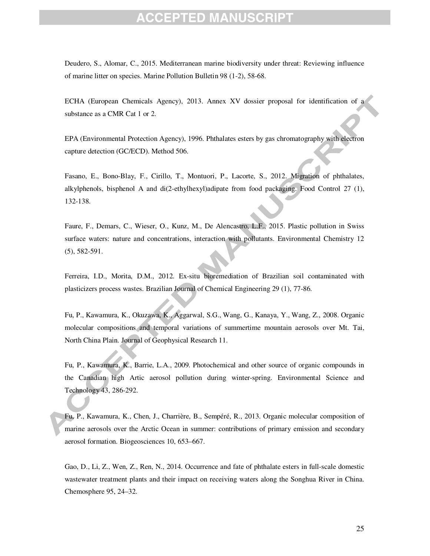# ED MZ

Deudero, S., Alomar, C., 2015. Mediterranean marine biodiversity under threat: Reviewing influence of marine litter on species. Marine Pollution Bulletin 98 (1-2), 58-68.

ECHA (European Chemicals Agency), 2013. Annex XV dossier proposal for identification of a substance as a CMR Cat 1 or 2.

EPA (Environmental Protection Agency), 1996. Phthalates esters by gas chromatography with electron capture detection (GC/ECD). Method 506.

Fasano, E., Bono-Blay, F., Cirillo, T., Montuori, P., Lacorte, S., 2012. Migration of phthalates, alkylphenols, bisphenol A and di(2-ethylhexyl)adipate from food packaging. Food Control 27 (1), 132-138.

Faure, F., Demars, C., Wieser, O., Kunz, M., De Alencastro, L.F., 2015. Plastic pollution in Swiss surface waters: nature and concentrations, interaction with pollutants. Environmental Chemistry 12 (5), 582-591.

Ferreira, I.D., Morita, D.M., 2012. Ex-situ bioremediation of Brazilian soil contaminated with plasticizers process wastes. Brazilian Journal of Chemical Engineering 29 (1), 77-86.

Fu, P., Kawamura, K., Okuzawa, K., Aggarwal, S.G., Wang, G., Kanaya, Y., Wang, Z., 2008. Organic molecular compositions and temporal variations of summertime mountain aerosols over Mt. Tai, North China Plain. Journal of Geophysical Research 11.

Fu, P., Kawamura, K., Barrie, L.A., 2009. Photochemical and other source of organic compounds in the Canadian high Artic aerosol pollution during winter-spring. Environmental Science and Technology 43, 286-292.

Fu, P., Kawamura, K., Chen, J., Charrière, B., Sempéré, R., 2013. Organic molecular composition of marine aerosols over the Arctic Ocean in summer: contributions of primary emission and secondary aerosol formation. Biogeosciences 10, 653–667.

Gao, D., Li, Z., Wen, Z., Ren, N., 2014. Occurrence and fate of phthalate esters in full-scale domestic wastewater treatment plants and their impact on receiving waters along the Songhua River in China. Chemosphere 95, 24–32.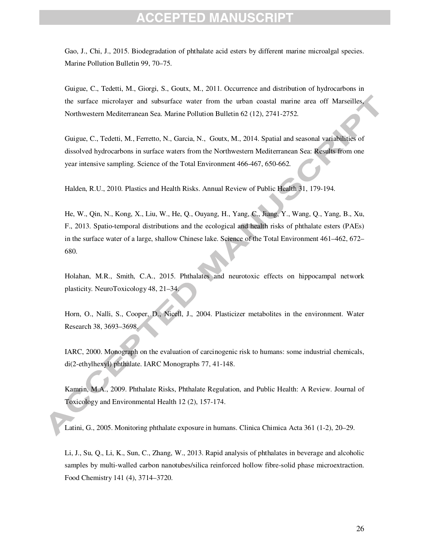# FPTED MANU

Gao, J., Chi, J., 2015. Biodegradation of phthalate acid esters by different marine microalgal species. Marine Pollution Bulletin 99, 70–75.

Guigue, C., Tedetti, M., Giorgi, S., Goutx, M., 2011. Occurrence and distribution of hydrocarbons in the surface microlayer and subsurface water from the urban coastal marine area off Marseilles, Northwestern Mediterranean Sea. Marine Pollution Bulletin 62 (12), 2741-2752.

Guigue, C., Tedetti, M., Ferretto, N., Garcia, N., Goutx, M., 2014. Spatial and seasonal variabilities of dissolved hydrocarbons in surface waters from the Northwestern Mediterranean Sea: Results from one year intensive sampling. Science of the Total Environment 466-467, 650-662.

Halden, R.U., 2010*.* Plastics and Health Risks. Annual Review of Public Health 31, 179-194.

He, W., Qin, N., Kong, X., Liu, W., He, Q., Ouyang, H., Yang, C., Jiang, Y., Wang, Q., Yang, B., Xu, F., 2013. Spatio-temporal distributions and the ecological and health risks of phthalate esters (PAEs) in the surface water of a large, shallow Chinese lake. Science of the Total Environment 461–462, 672– 680.

Holahan, M.R., Smith, C.A., 2015. Phthalates and neurotoxic effects on hippocampal network plasticity. NeuroToxicology 48, 21–34.

Horn, O., Nalli, S., Cooper, D., Nicell, J., 2004. Plasticizer metabolites in the environment. Water Research 38, 3693–3698.

IARC, 2000. Monograph on the evaluation of carcinogenic risk to humans: some industrial chemicals, di(2-ethylhexyl) phthalate. IARC Monographs 77, 41-148.

Kamrin, M.A., 2009. Phthalate Risks, Phthalate Regulation, and Public Health: A Review. Journal of Toxicology and Environmental Health 12 (2), 157-174.

Latini, G., 2005. Monitoring phthalate exposure in humans. Clinica Chimica Acta 361 (1-2), 20–29.

Li, J., Su, Q., Li, K., Sun, C., Zhang, W., 2013. Rapid analysis of phthalates in beverage and alcoholic samples by multi-walled carbon nanotubes/silica reinforced hollow fibre-solid phase microextraction. Food Chemistry 141 (4), 3714–3720.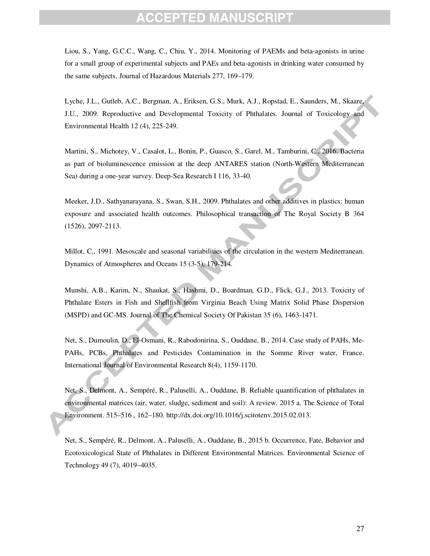Liou, S., Yang, G.C.C., Wang, C., Chiu, Y., 2014. Monitoring of PAEMs and beta-agonists in urine for a small group of experimental subjects and PAEs and beta-agonists in drinking water consumed by the same subjects. Journal of Hazardous Materials 277, 169–179.

Lyche, J.L., Gutleb, A.C., Bergman, A., Eriksen, G.S., Murk, A.J., Ropstad, E., Saunders, M., Skaare, J.U., 2009. Reproductive and Developmental Toxicity of Phthalates. Journal of Toxicology and Environmental Health 12 (4), 225-249.

Martini, S., Michotey, V., Casalot, L., Bonin, P., Guasco, S., Garel, M., Tamburini, C., 2016. Bacteria as part of bioluminescence emission at the deep ANTARES station (North-Western Mediterranean Sea) during a one-year survey. Deep-Sea Research I 116, 33-40.

Meeker, J.D., Sathyanarayana, S., Swan, S.H., 2009. Phthalates and other additives in plastics: human exposure and associated health outcomes. Philosophical transaction of The Royal Society B 364 (1526), 2097-2113.

Millot, C., 1991. Mesoscale and seasonal variabilities of the circulation in the western Mediterranean. Dynamics of Atmospheres and Oceans 15 (3-5), 179-214.

Munshi, A.B., Karim, N., Shaukat, S., Hashmi, D., Boardman, G.D., Flick, G.J., 2013. Toxicity of Phthalate Esters in Fish and Shellfish from Virginia Beach Using Matrix Solid Phase Dispersion (MSPD) and GC-MS. Journal of The Chemical Society Of Pakistan 35 (6), 1463-1471.

Net, S., Dumoulin, D., El-Osmani, R., Rabodonirina, S., Ouddane, B., 2014. Case study of PAHs, Me-PAHs, PCBs, Phthalates and Pesticides Contamination in the Somme River water, France. International Journal of Environmental Research 8(4), 1159-1170.

Net, S., Delmont, A., Sempéré, R., Paluselli, A., Ouddane, B. Reliable quantification of phthalates in environmental matrices (air, water, sludge, sediment and soil): A review. 2015 a. The Science of Total Environment. 515–516 , 162–180. http://dx.doi.org/10.1016/j.scitotenv.2015.02.013.

Net, S., Sempéré, R., Delmont, A., Paluselli, A., Ouddane, B., 2015 b. Occurrence, Fate, Behavior and Ecotoxicological State of Phthalates in Different Environmental Matrices. Environmental Science of Technology 49 (7), 4019–4035.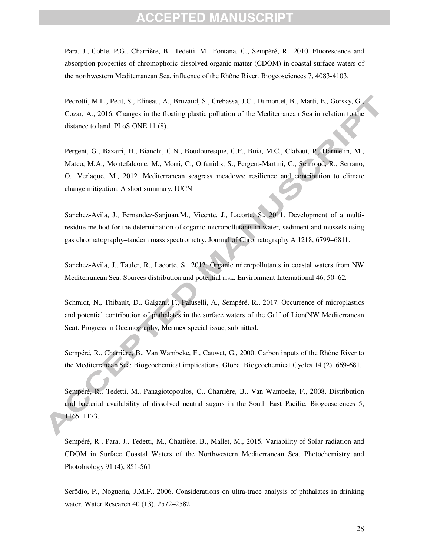# EPTED MANU

Para, J., Coble, P.G., Charrière, B., Tedetti, M., Fontana, C., Sempéré, R., 2010. Fluorescence and absorption properties of chromophoric dissolved organic matter (CDOM) in coastal surface waters of the northwestern Mediterranean Sea, influence of the Rhône River. Biogeosciences 7, 4083-4103.

Pedrotti, M.L., Petit, S., Elineau, A., Bruzaud, S., Crebassa, J.C., Dumontet, B., Marti, E., Gorsky, G., Cozar, A., 2016. Changes in the floating plastic pollution of the Mediterranean Sea in relation to the distance to land. PLoS ONE 11 (8).

Pergent, G., Bazairi, H., Bianchi, C.N., Boudouresque, C.F., Buia, M.C., Clabaut, P., Harmelin, M., Mateo, M.A., Montefalcone, M., Morri, C., Orfanidis, S., Pergent-Martini, C., Semroud, R., Serrano, O., Verlaque, M., 2012. Mediterranean seagrass meadows: resilience and contribution to climate change mitigation. A short summary. IUCN.

Sanchez-Avila, J., Fernandez-Sanjuan,M., Vicente, J., Lacorte, S., 2011. Development of a multiresidue method for the determination of organic micropollutants in water, sediment and mussels using gas chromatography–tandem mass spectrometry. Journal of Chromatography A 1218, 6799–6811.

Sanchez-Avila, J., Tauler, R., Lacorte, S., 2012. Organic micropollutants in coastal waters from NW Mediterranean Sea: Sources distribution and potential risk. Environment International 46, 50–62.

Schmidt, N., Thibault, D., Galgani, F., Paluselli, A., Sempéré, R., 2017. Occurrence of microplastics and potential contribution of phthalates in the surface waters of the Gulf of Lion(NW Mediterranean Sea). Progress in Oceanography, Mermex special issue, submitted.

Sempéré, R., Charrière, B., Van Wambeke, F., Cauwet, G., 2000. Carbon inputs of the Rhône River to the Mediterranean Sea: Biogeochemical implications. Global Biogeochemical Cycles 14 (2), 669-681.

Sempéré, R., Tedetti, M., Panagiotopoulos, C., Charrière, B., Van Wambeke, F., 2008. Distribution and bacterial availability of dissolved neutral sugars in the South East Pacific. Biogeosciences 5, 1165–1173.

Sempéré, R., Para, J., Tedetti, M., Chattière, B., Mallet, M., 2015. Variability of Solar radiation and CDOM in Surface Coastal Waters of the Northwestern Mediterranean Sea. Photochemistry and Photobiology 91 (4), 851-561.

Serôdio, P., Nogueria, J.M.F., 2006. Considerations on ultra-trace analysis of phthalates in drinking water. Water Research 40 (13), 2572–2582.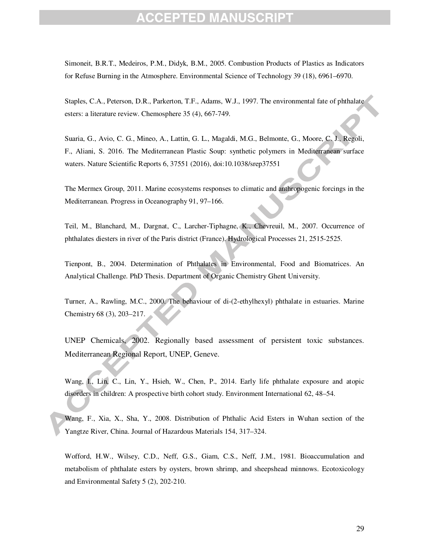# EPTED MANU

Simoneit, B.R.T., Medeiros, P.M., Didyk, B.M., 2005. Combustion Products of Plastics as Indicators for Refuse Burning in the Atmosphere. Environmental Science of Technology 39 (18), 6961–6970.

Staples, C.A., Peterson, D.R., Parkerton, T.F., Adams, W.J., 1997. The environmental fate of phthalate esters: a literature review. Chemosphere 35 (4), 667-749.

Suaria, G., Avio, C. G., Mineo, A., Lattin, G. L., Magaldi, M.G., Belmonte, G., Moore, C. J., Regoli, F., Aliani, S. 2016. The Mediterranean Plastic Soup: synthetic polymers in Mediterranean surface waters. Nature Scientific Reports 6, 37551 (2016), doi:10.1038/srep37551

The Mermex Group, 2011. Marine ecosystems responses to climatic and anthropogenic forcings in the Mediterranean. Progress in Oceanography 91, 97–166.

Teil, M., Blanchard, M., Dargnat, C., Larcher-Tiphagne, K., Chevreuil, M., 2007. Occurrence of phthalates diesters in river of the Paris district (France). Hydrological Processes 21, 2515-2525.

Tienpont, B., 2004. Determination of Phthalates in Environmental, Food and Biomatrices. An Analytical Challenge. PhD Thesis. Department of Organic Chemistry Ghent University.

Turner, A., Rawling, M.C., 2000. The behaviour of di-(2-ethylhexyl) phthalate in estuaries. Marine Chemistry 68 (3), 203–217.

UNEP Chemicals, 2002. Regionally based assessment of persistent toxic substances. Mediterranean Regional Report, UNEP, Geneve.

Wang, I., Lin, C., Lin, Y., Hsieh, W., Chen, P., 2014. Early life phthalate exposure and atopic disorders in children: A prospective birth cohort study. Environment International 62, 48–54.

Wang, F., Xia, X., Sha, Y., 2008. Distribution of Phthalic Acid Esters in Wuhan section of the Yangtze River, China. Journal of Hazardous Materials 154, 317–324.

Wofford, H.W., Wilsey, C.D., Neff, G.S., Giam, C.S., Neff, J.M., 1981. Bioaccumulation and metabolism of phthalate esters by oysters, brown shrimp, and sheepshead minnows. Ecotoxicology and Environmental Safety 5 (2), 202-210.